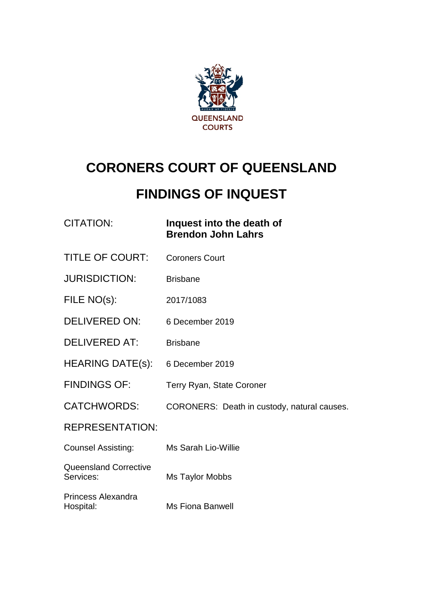

# **CORONERS COURT OF QUEENSLAND**

# **FINDINGS OF INQUEST**

## CITATION: **Inquest into the death of Brendon John Lahrs**

- TITLE OF COURT: Coroners Court
- JURISDICTION: Brisbane
- FILE NO(s): 2017/1083
- DELIVERED ON: 6 December 2019
- DELIVERED AT: Brisbane
- HEARING DATE(s): 6 December 2019
- FINDINGS OF: Terry Ryan, State Coroner
- CATCHWORDS: CORONERS: Death in custody, natural causes.

#### REPRESENTATION:

- Counsel Assisting: Ms Sarah Lio-Willie
- Queensland Corrective Services: Ms Taylor Mobbs
- Princess Alexandra Hospital: Ms Fiona Banwell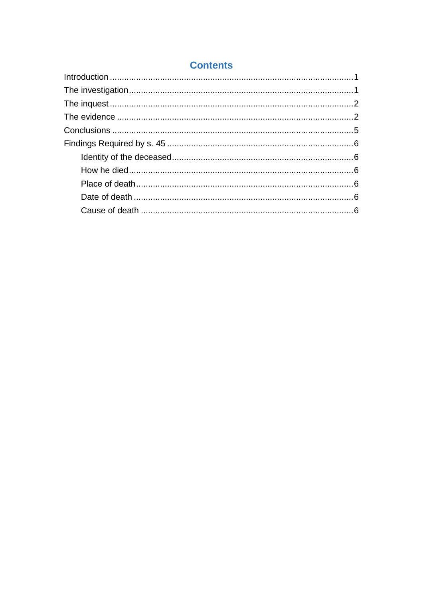## **Contents**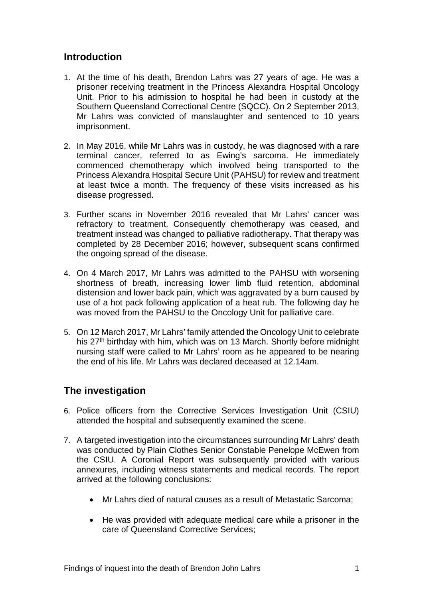#### <span id="page-2-0"></span>**Introduction**

- 1. At the time of his death, Brendon Lahrs was 27 years of age. He was a prisoner receiving treatment in the Princess Alexandra Hospital Oncology Unit. Prior to his admission to hospital he had been in custody at the Southern Queensland Correctional Centre (SQCC). On 2 September 2013, Mr Lahrs was convicted of manslaughter and sentenced to 10 years imprisonment.
- 2. In May 2016, while Mr Lahrs was in custody, he was diagnosed with a rare terminal cancer, referred to as Ewing's sarcoma. He immediately commenced chemotherapy which involved being transported to the Princess Alexandra Hospital Secure Unit (PAHSU) for review and treatment at least twice a month. The frequency of these visits increased as his disease progressed.
- 3. Further scans in November 2016 revealed that Mr Lahrs' cancer was refractory to treatment. Consequently chemotherapy was ceased, and treatment instead was changed to palliative radiotherapy. That therapy was completed by 28 December 2016; however, subsequent scans confirmed the ongoing spread of the disease.
- 4. On 4 March 2017, Mr Lahrs was admitted to the PAHSU with worsening shortness of breath, increasing lower limb fluid retention, abdominal distension and lower back pain, which was aggravated by a burn caused by use of a hot pack following application of a heat rub. The following day he was moved from the PAHSU to the Oncology Unit for palliative care.
- 5. On 12 March 2017, Mr Lahrs' family attended the Oncology Unit to celebrate his 27<sup>th</sup> birthday with him, which was on 13 March. Shortly before midnight nursing staff were called to Mr Lahrs' room as he appeared to be nearing the end of his life. Mr Lahrs was declared deceased at 12.14am.

### <span id="page-2-1"></span>**The investigation**

- 6. Police officers from the Corrective Services Investigation Unit (CSIU) attended the hospital and subsequently examined the scene.
- 7. A targeted investigation into the circumstances surrounding Mr Lahrs' death was conducted by Plain Clothes Senior Constable Penelope McEwen from the CSIU. A Coronial Report was subsequently provided with various annexures, including witness statements and medical records. The report arrived at the following conclusions:
	- Mr Lahrs died of natural causes as a result of Metastatic Sarcoma;
	- He was provided with adequate medical care while a prisoner in the care of Queensland Corrective Services;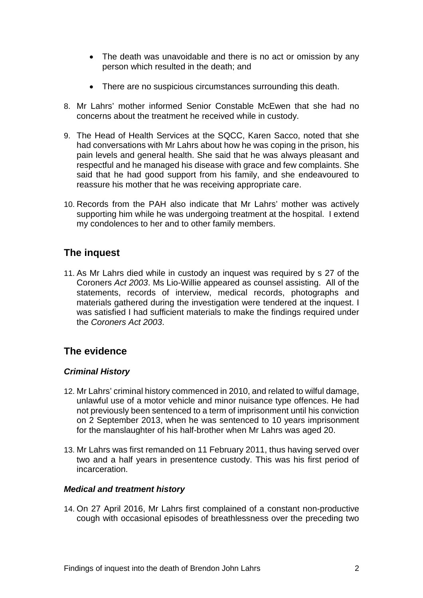- The death was unavoidable and there is no act or omission by any person which resulted in the death; and
- There are no suspicious circumstances surrounding this death.
- 8. Mr Lahrs' mother informed Senior Constable McEwen that she had no concerns about the treatment he received while in custody.
- 9. The Head of Health Services at the SQCC, Karen Sacco, noted that she had conversations with Mr Lahrs about how he was coping in the prison, his pain levels and general health. She said that he was always pleasant and respectful and he managed his disease with grace and few complaints. She said that he had good support from his family, and she endeavoured to reassure his mother that he was receiving appropriate care.
- 10. Records from the PAH also indicate that Mr Lahrs' mother was actively supporting him while he was undergoing treatment at the hospital. I extend my condolences to her and to other family members.

## <span id="page-3-0"></span>**The inquest**

11. As Mr Lahrs died while in custody an inquest was required by s 27 of the Coroners *Act 2003*. Ms Lio-Willie appeared as counsel assisting. All of the statements, records of interview, medical records, photographs and materials gathered during the investigation were tendered at the inquest. I was satisfied I had sufficient materials to make the findings required under the *Coroners Act 2003*.

### <span id="page-3-1"></span>**The evidence**

#### *Criminal History*

- 12. Mr Lahrs' criminal history commenced in 2010, and related to wilful damage, unlawful use of a motor vehicle and minor nuisance type offences. He had not previously been sentenced to a term of imprisonment until his conviction on 2 September 2013, when he was sentenced to 10 years imprisonment for the manslaughter of his half-brother when Mr Lahrs was aged 20.
- 13. Mr Lahrs was first remanded on 11 February 2011, thus having served over two and a half years in presentence custody. This was his first period of incarceration.

#### *Medical and treatment history*

14. On 27 April 2016, Mr Lahrs first complained of a constant non-productive cough with occasional episodes of breathlessness over the preceding two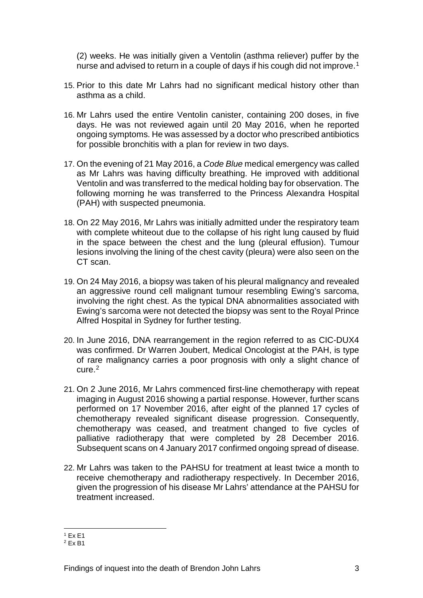(2) weeks. He was initially given a Ventolin (asthma reliever) puffer by the nurse and advised to return in a couple of days if his cough did not improve.<sup>[1](#page-4-0)</sup>

- 15. Prior to this date Mr Lahrs had no significant medical history other than asthma as a child.
- 16. Mr Lahrs used the entire Ventolin canister, containing 200 doses, in five days. He was not reviewed again until 20 May 2016, when he reported ongoing symptoms. He was assessed by a doctor who prescribed antibiotics for possible bronchitis with a plan for review in two days.
- 17. On the evening of 21 May 2016, a *Code Blue* medical emergency was called as Mr Lahrs was having difficulty breathing. He improved with additional Ventolin and was transferred to the medical holding bay for observation. The following morning he was transferred to the Princess Alexandra Hospital (PAH) with suspected pneumonia.
- 18. On 22 May 2016, Mr Lahrs was initially admitted under the respiratory team with complete whiteout due to the collapse of his right lung caused by fluid in the space between the chest and the lung (pleural effusion). Tumour lesions involving the lining of the chest cavity (pleura) were also seen on the CT scan.
- 19. On 24 May 2016, a biopsy was taken of his pleural malignancy and revealed an aggressive round cell malignant tumour resembling Ewing's sarcoma, involving the right chest. As the typical DNA abnormalities associated with Ewing's sarcoma were not detected the biopsy was sent to the Royal Prince Alfred Hospital in Sydney for further testing.
- 20. In June 2016, DNA rearrangement in the region referred to as CIC-DUX4 was confirmed. Dr Warren Joubert, Medical Oncologist at the PAH, is type of rare malignancy carries a poor prognosis with only a slight chance of cure.[2](#page-4-1)
- 21. On 2 June 2016, Mr Lahrs commenced first-line chemotherapy with repeat imaging in August 2016 showing a partial response. However, further scans performed on 17 November 2016, after eight of the planned 17 cycles of chemotherapy revealed significant disease progression. Consequently, chemotherapy was ceased, and treatment changed to five cycles of palliative radiotherapy that were completed by 28 December 2016. Subsequent scans on 4 January 2017 confirmed ongoing spread of disease.
- 22. Mr Lahrs was taken to the PAHSU for treatment at least twice a month to receive chemotherapy and radiotherapy respectively. In December 2016, given the progression of his disease Mr Lahrs' attendance at the PAHSU for treatment increased.

 $\frac{1}{1}$  Ex E1

<span id="page-4-1"></span><span id="page-4-0"></span><sup>2</sup> Ex B1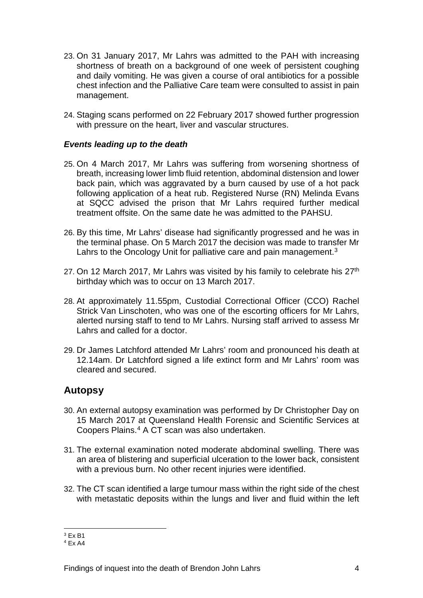- 23. On 31 January 2017, Mr Lahrs was admitted to the PAH with increasing shortness of breath on a background of one week of persistent coughing and daily vomiting. He was given a course of oral antibiotics for a possible chest infection and the Palliative Care team were consulted to assist in pain management.
- 24. Staging scans performed on 22 February 2017 showed further progression with pressure on the heart, liver and vascular structures.

#### *Events leading up to the death*

- 25. On 4 March 2017, Mr Lahrs was suffering from worsening shortness of breath, increasing lower limb fluid retention, abdominal distension and lower back pain, which was aggravated by a burn caused by use of a hot pack following application of a heat rub. Registered Nurse (RN) Melinda Evans at SQCC advised the prison that Mr Lahrs required further medical treatment offsite. On the same date he was admitted to the PAHSU.
- 26. By this time, Mr Lahrs' disease had significantly progressed and he was in the terminal phase. On 5 March 2017 the decision was made to transfer Mr Lahrs to the Oncology Unit for palliative care and pain management.<sup>[3](#page-5-0)</sup>
- 27. On 12 March 2017, Mr Lahrs was visited by his family to celebrate his 27<sup>th</sup> birthday which was to occur on 13 March 2017.
- 28. At approximately 11.55pm, Custodial Correctional Officer (CCO) Rachel Strick Van Linschoten, who was one of the escorting officers for Mr Lahrs, alerted nursing staff to tend to Mr Lahrs. Nursing staff arrived to assess Mr Lahrs and called for a doctor.
- 29. Dr James Latchford attended Mr Lahrs' room and pronounced his death at 12.14am. Dr Latchford signed a life extinct form and Mr Lahrs' room was cleared and secured.

#### **Autopsy**

- 30. An external autopsy examination was performed by Dr Christopher Day on 15 March 2017 at Queensland Health Forensic and Scientific Services at Coopers Plains. [4](#page-5-1) A CT scan was also undertaken.
- 31. The external examination noted moderate abdominal swelling. There was an area of blistering and superficial ulceration to the lower back, consistent with a previous burn. No other recent injuries were identified.
- 32. The CT scan identified a large tumour mass within the right side of the chest with metastatic deposits within the lungs and liver and fluid within the left

<span id="page-5-0"></span> $\frac{1}{3}$  Ex B1

<span id="page-5-1"></span> $4$  Fx A4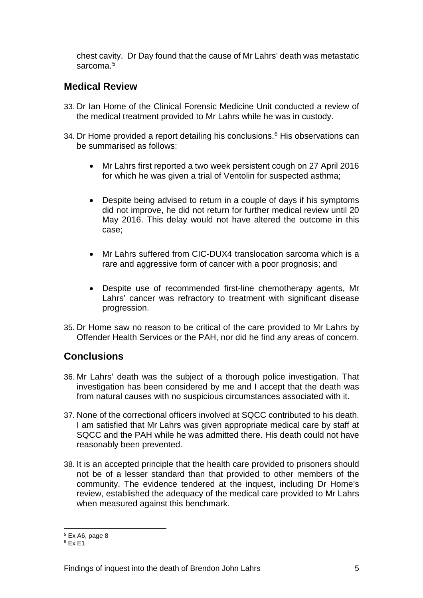chest cavity. Dr Day found that the cause of Mr Lahrs' death was metastatic sarcoma.<sup>[5](#page-6-1)</sup>

### **Medical Review**

- 33. Dr Ian Home of the Clinical Forensic Medicine Unit conducted a review of the medical treatment provided to Mr Lahrs while he was in custody.
- 34. Dr Home provided a report detailing his conclusions.<sup>[6](#page-6-2)</sup> His observations can be summarised as follows:
	- Mr Lahrs first reported a two week persistent cough on 27 April 2016 for which he was given a trial of Ventolin for suspected asthma;
	- Despite being advised to return in a couple of days if his symptoms did not improve, he did not return for further medical review until 20 May 2016. This delay would not have altered the outcome in this case;
	- Mr Lahrs suffered from CIC-DUX4 translocation sarcoma which is a rare and aggressive form of cancer with a poor prognosis; and
	- Despite use of recommended first-line chemotherapy agents, Mr Lahrs' cancer was refractory to treatment with significant disease progression.
- 35. Dr Home saw no reason to be critical of the care provided to Mr Lahrs by Offender Health Services or the PAH, nor did he find any areas of concern.

#### <span id="page-6-0"></span>**Conclusions**

- 36. Mr Lahrs' death was the subject of a thorough police investigation. That investigation has been considered by me and I accept that the death was from natural causes with no suspicious circumstances associated with it.
- 37. None of the correctional officers involved at SQCC contributed to his death. I am satisfied that Mr Lahrs was given appropriate medical care by staff at SQCC and the PAH while he was admitted there. His death could not have reasonably been prevented.
- 38. It is an accepted principle that the health care provided to prisoners should not be of a lesser standard than that provided to other members of the community. The evidence tendered at the inquest, including Dr Home's review, established the adequacy of the medical care provided to Mr Lahrs when measured against this benchmark.

<sup>5</sup> Ex A6, page 8

<span id="page-6-2"></span><span id="page-6-1"></span> $6$  Fx F1